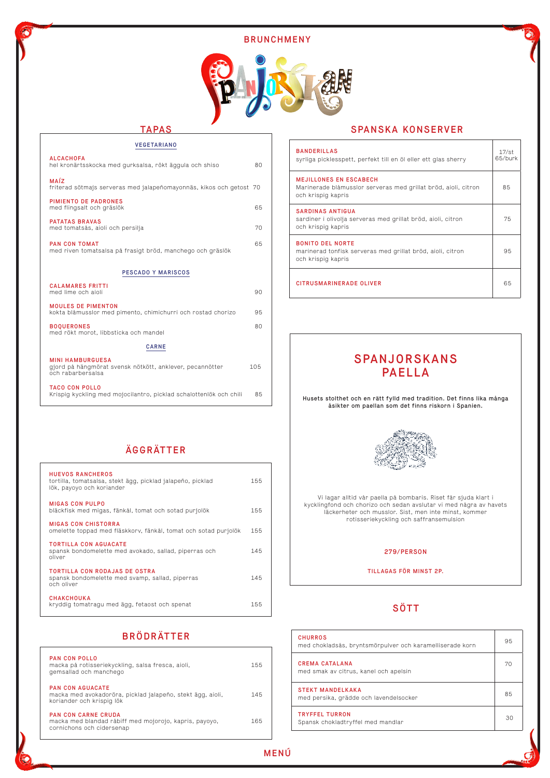

## BRUNCHMENY



| <b>VEGETARIANO</b>                                                                                       |     |  |  |
|----------------------------------------------------------------------------------------------------------|-----|--|--|
| <b>ALCACHOFA</b><br>hel kronärtsskocka med gurksalsa, rökt äggula och shiso                              | 80  |  |  |
| MAÍZ<br>friterad sötmajs serveras med jalapeñomayonnäs, kikos och getost 70                              |     |  |  |
| PIMIENTO DE PADRONES<br>med flingsalt och gräslök                                                        | 65  |  |  |
| <b>PATATAS BRAVAS</b><br>med tomatsås, aioli och persilja                                                | 70  |  |  |
| <b>PAN CON TOMAT</b><br>med riven tomatsalsa på frasigt bröd, manchego och gräslök                       | 65  |  |  |
| <b>PESCADO Y MARISCOS</b>                                                                                |     |  |  |
| <b>CALAMARES FRITTI</b><br>med lime och aioli                                                            | 90  |  |  |
| <b>MOULES DE PIMENTON</b><br>kokta blåmusslor med pimento, chimichurri och rostad chorizo                | 95  |  |  |
| <b>BOQUERONES</b><br>med rökt morot, libbsticka och mandel                                               | 80  |  |  |
| <b>CARNE</b>                                                                                             |     |  |  |
| <b>MINI HAMBURGUESA</b><br>gjord på hängmörat svensk nötkött, anklever, pecannötter<br>och rabarbersalsa | 105 |  |  |
| <b>TACO CON POLLO</b><br>Krispig kyckling med mojocilantro, picklad schalottenlök och chili              | 85  |  |  |

## TAPAS

| <b>PAN CON POLLO</b><br>macka på rotisseriekyckling, salsa fresca, aioli,<br>gemsallad och manchego               | 155 |
|-------------------------------------------------------------------------------------------------------------------|-----|
| PAN CON AGUACATE<br>macka med avokadoröra, picklad jalapeño, stekt ägg, aioli,<br>koriander och krispig lök       | 145 |
| <b>PAN CON CARNE CRUDA</b><br>macka med blandad råbiff med mojorojo, kapris, payoyo,<br>cornichons och cidersenap | 165 |

# BRÖDRÄTTER

| <b>HUEVOS RANCHEROS</b><br>tortilla, tomatsalsa, stekt ägg, picklad jalapeño, picklad<br>lök, payoyo och koriander | 155 |
|--------------------------------------------------------------------------------------------------------------------|-----|
| <b>MIGAS CON PULPO</b><br>bläckfisk med migas, fänkål, tomat och sotad purjolök                                    | 155 |
| MIGAS CON CHISTORRA<br>omelette toppad med fläskkorv, fänkål, tomat och sotad purjolök                             | 155 |
| <b>TORTILLA CON AGUACATE</b><br>spansk bondomelette med avokado, sallad, piperras och<br>oliver                    | 145 |
| TORTILLA CON RODAJAS DE OSTRA<br>spansk bondomelette med svamp, sallad, piperras<br>och oliver                     | 145 |

#### CHAKCHOUKA

kryddig tomatragu med ägg, fetaost och spenat 155

# ÄGGRÄTTER

# SÖTT

| <b>BANDERILLAS</b><br>syrliga picklesspett, perfekt till en öl eller ett glas sherry                                  | $17/\mathrm{st}$<br>65/burk |
|-----------------------------------------------------------------------------------------------------------------------|-----------------------------|
| <b>MEJILLONES EN ESCABECH</b><br>Marinerade blåmusslor serveras med grillat bröd, aioli, citron<br>och krispig kapris | 85                          |
| <b>SARDINAS ANTIGUA</b><br>sardiner i olivolja serveras med grillat bröd, aioli, citron<br>och krispig kapris         | 75                          |
| <b>BONITO DEL NORTE</b><br>marinerad tonfisk serveras med grillat bröd, aioli, citron<br>och krispig kapris           | 95                          |
| <b>CITRUSMARINERADE OLIVER</b>                                                                                        | 65                          |

| <b>CHURROS</b><br>med chokladsås, bryntsmörpulver och karamelliserade korn | 95 |
|----------------------------------------------------------------------------|----|
| <b>CREMA CATALANA</b><br>med smak av citrus, kanel och apelsin             | 70 |
| <b>STEKT MANDELKAKA</b><br>med persika, grädde och lavendelsocker          | 85 |
| <b>TRYFFEL TURRON</b><br>Spansk chokladtryffel med mandlar                 | 30 |

# SPANJORSKANS PAELLA

Husets stolthet och en rätt fylld med tradition. Det finns lika många åsikter om paellan som det finns riskorn i Spanien.



Vi lagar alltid vår paella på bombaris. Riset får sjuda klart i kycklingfond och chorizo och sedan avslutar vi med några av havets läckerheter och musslor. Sist, men inte minst, kommer rotisseriekyckling och saffransemulsion

#### 279/PERSON

#### TILLAGAS FÖR MINST 2P.

## SPANSKA KONSERVER